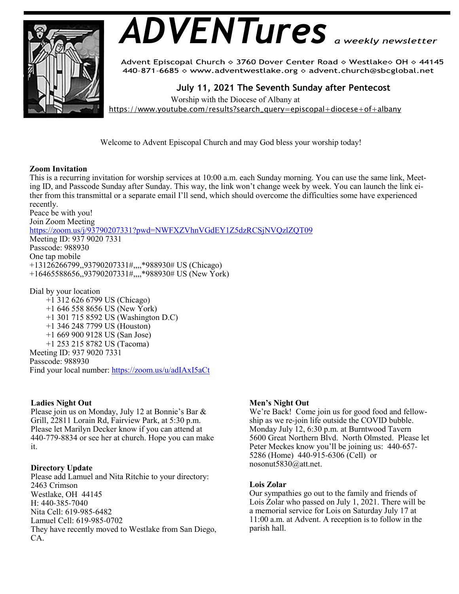

# *ADVENTures*

Advent Episcopal Church ◇ 3760 Dover Center Road ◇ Westlake◇ OH ◇ 44145 440-871-6685 > www.adventwestlake.org > advent.church@sbcglobal.net

 **July 11, 2021 The Seventh Sunday after Pentecost** 

Worship with the Diocese of Albany at

https://www.youtube.com/results?search\_query=episcopal+diocese+of+albany

Welcome to Advent Episcopal Church and may God bless your worship today!

# **Zoom Invitation**

This is a recurring invitation for worship services at 10:00 a.m. each Sunday morning. You can use the same link, Meeting ID, and Passcode Sunday after Sunday. This way, the link won't change week by week. You can launch the link either from this transmittal or a separate email I'll send, which should overcome the difficulties some have experienced recently.

Peace be with you! Join Zoom Meeting https://zoom.us/j/93790207331?pwd=NWFXZVhnVGdEY1Z5dzRCSjNVQzlZQT09 Meeting ID: 937 9020 7331 Passcode: 988930 One tap mobile +13126266799,,93790207331#,,,,\*988930# US (Chicago) +16465588656,,93790207331#,,,,\*988930# US (New York)

Dial by your location +1 312 626 6799 US (Chicago) +1 646 558 8656 US (New York) +1 301 715 8592 US (Washington D.C) +1 346 248 7799 US (Houston) +1 669 900 9128 US (San Jose) +1 253 215 8782 US (Tacoma) Meeting ID: 937 9020 7331 Passcode: 988930 Find your local number: https://zoom.us/u/adIAxI5aCt

# **Ladies Night Out**

Please join us on Monday, July 12 at Bonnie's Bar & Grill, 22811 Lorain Rd, Fairview Park, at 5:30 p.m. Please let Marilyn Decker know if you can attend at 440-779-8834 or see her at church. Hope you can make it.

Please add Lamuel and Nita Ritchie to your directory: 2463 Crimson Westlake, OH 44145 H: 440-385-7040 Nita Cell: 619-985-6482 Lamuel Cell: 619-985-0702 They have recently moved to Westlake from San Diego, CA.

# **Men's Night Out**

We're Back! Come join us for good food and fellowship as we re-join life outside the COVID bubble. Monday July 12, 6:30 p.m. at Burntwood Tavern 5600 Great Northern Blvd. North Olmsted. Please let Peter Meckes know you'll be joining us: 440-657- 5286 (Home) 440-915-6306 (Cell) or nosonut5830@att.net. **Directory Update**

## **Lois Zolar**

Our sympathies go out to the family and friends of Lois Zolar who passed on July 1, 2021. There will be a memorial service for Lois on Saturday July 17 at 11:00 a.m. at Advent. A reception is to follow in the parish hall.